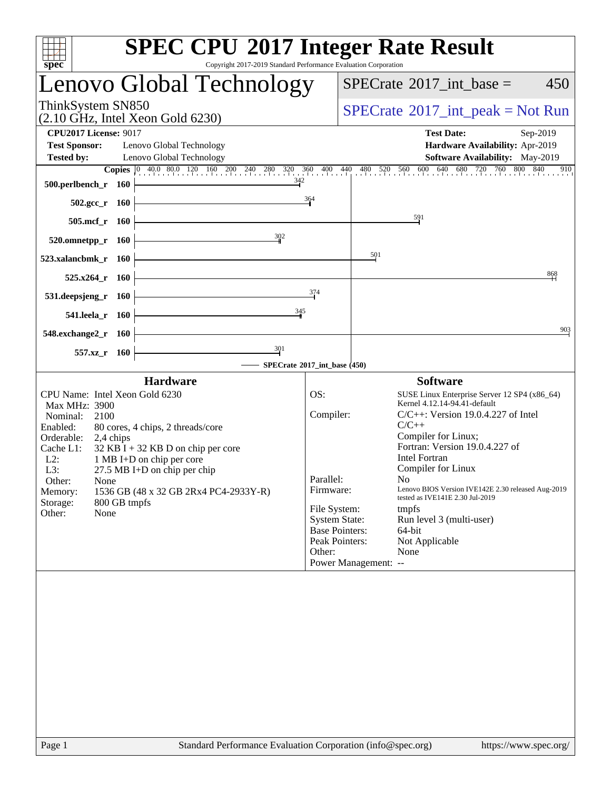| $spec^*$                                                                                                                                                                                                                                                                                                                                                                                                        | <b>SPEC CPU®2017 Integer Rate Result</b><br>Copyright 2017-2019 Standard Performance Evaluation Corporation                                                                                                                                                                                                                                                                                                                                                                                                                                                                                                   |
|-----------------------------------------------------------------------------------------------------------------------------------------------------------------------------------------------------------------------------------------------------------------------------------------------------------------------------------------------------------------------------------------------------------------|---------------------------------------------------------------------------------------------------------------------------------------------------------------------------------------------------------------------------------------------------------------------------------------------------------------------------------------------------------------------------------------------------------------------------------------------------------------------------------------------------------------------------------------------------------------------------------------------------------------|
| Lenovo Global Technology                                                                                                                                                                                                                                                                                                                                                                                        | $SPECTate$ <sup>®</sup> 2017_int_base =<br>450                                                                                                                                                                                                                                                                                                                                                                                                                                                                                                                                                                |
| ThinkSystem SN850<br>$(2.10 \text{ GHz}, \text{Intel Xeon Gold } 6230)$                                                                                                                                                                                                                                                                                                                                         | $SPECrate^{\circledast}2017\_int\_peak = Not Run$                                                                                                                                                                                                                                                                                                                                                                                                                                                                                                                                                             |
| <b>CPU2017 License: 9017</b><br><b>Test Sponsor:</b><br>Lenovo Global Technology<br><b>Tested by:</b><br>Lenovo Global Technology                                                                                                                                                                                                                                                                               | <b>Test Date:</b><br>Sep-2019<br><b>Hardware Availability: Apr-2019</b><br><b>Software Availability:</b> May-2019                                                                                                                                                                                                                                                                                                                                                                                                                                                                                             |
| 342<br>500.perlbench_r 160                                                                                                                                                                                                                                                                                                                                                                                      | <b>Copies</b> $\begin{bmatrix} 0 & 40.0 & 80.0 & 120 & 160 & 200 & 240 & 280 & 320 & 360 & 400 & 440 & 480 & 520 & 560 & 600 & 640 & 680 & 720 & 760 & 800 & 840 & 910 \end{bmatrix}$<br>364                                                                                                                                                                                                                                                                                                                                                                                                                  |
| $502.\mathrm{gcc}$ _r<br>- 160<br>$505$ .mcf_r<br>- 160                                                                                                                                                                                                                                                                                                                                                         | $\frac{591}{2}$                                                                                                                                                                                                                                                                                                                                                                                                                                                                                                                                                                                               |
| 302<br>520.omnetpp_r 160                                                                                                                                                                                                                                                                                                                                                                                        |                                                                                                                                                                                                                                                                                                                                                                                                                                                                                                                                                                                                               |
| 523.xalancbmk_r<br><b>160</b>                                                                                                                                                                                                                                                                                                                                                                                   | $\frac{501}{2}$                                                                                                                                                                                                                                                                                                                                                                                                                                                                                                                                                                                               |
| $525.x264$ r<br><b>160</b>                                                                                                                                                                                                                                                                                                                                                                                      | 868<br>374                                                                                                                                                                                                                                                                                                                                                                                                                                                                                                                                                                                                    |
| 531.deepsjeng_r<br>- 160<br>345<br>541.leela_r 160                                                                                                                                                                                                                                                                                                                                                              |                                                                                                                                                                                                                                                                                                                                                                                                                                                                                                                                                                                                               |
| 548.exchange2_r 160                                                                                                                                                                                                                                                                                                                                                                                             | 903                                                                                                                                                                                                                                                                                                                                                                                                                                                                                                                                                                                                           |
| $\frac{301}{4}$<br>557.xz_r 160                                                                                                                                                                                                                                                                                                                                                                                 | SPECrate®2017_int_base (450)                                                                                                                                                                                                                                                                                                                                                                                                                                                                                                                                                                                  |
| <b>Hardware</b>                                                                                                                                                                                                                                                                                                                                                                                                 | <b>Software</b>                                                                                                                                                                                                                                                                                                                                                                                                                                                                                                                                                                                               |
| CPU Name: Intel Xeon Gold 6230<br><b>Max MHz: 3900</b><br>Nominal:<br>2100<br>Enabled:<br>80 cores, 4 chips, 2 threads/core<br>Orderable:<br>2,4 chips<br>Cache L1:<br>$32$ KB I + 32 KB D on chip per core<br>$L2$ :<br>1 MB I+D on chip per core<br>L3:<br>$27.5$ MB I+D on chip per chip<br>Other:<br>None<br>1536 GB (48 x 32 GB 2Rx4 PC4-2933Y-R)<br>Memory:<br>Storage:<br>800 GB tmpfs<br>None<br>Other: | OS:<br>SUSE Linux Enterprise Server 12 SP4 (x86_64)<br>Kernel 4.12.14-94.41-default<br>Compiler:<br>$C/C++$ : Version 19.0.4.227 of Intel<br>$C/C++$<br>Compiler for Linux;<br>Fortran: Version 19.0.4.227 of<br><b>Intel Fortran</b><br>Compiler for Linux<br>Parallel:<br>$N_{\Omega}$ and $N_{\Omega}$<br>Lenovo BIOS Version IVE142E 2.30 released Aug-2019<br>Firmware:<br>tested as IVE141E 2.30 Jul-2019<br>File System:<br>tmpfs<br><b>System State:</b><br>Run level 3 (multi-user)<br><b>Base Pointers:</b><br>64-bit<br>Peak Pointers:<br>Not Applicable<br>Other:<br>None<br>Power Management: -- |
|                                                                                                                                                                                                                                                                                                                                                                                                                 |                                                                                                                                                                                                                                                                                                                                                                                                                                                                                                                                                                                                               |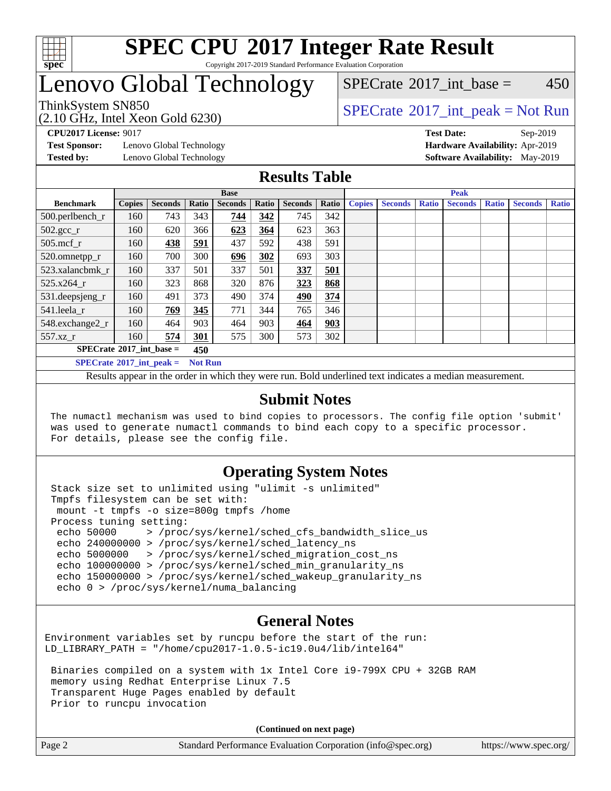

## **[SPEC CPU](http://www.spec.org/auto/cpu2017/Docs/result-fields.html#SPECCPU2017IntegerRateResult)[2017 Integer Rate Result](http://www.spec.org/auto/cpu2017/Docs/result-fields.html#SPECCPU2017IntegerRateResult)** Copyright 2017-2019 Standard Performance Evaluation Corporation

## Lenovo Global Technology

 $SPECTate^{\circ}2017$  int base = 450

(2.10 GHz, Intel Xeon Gold 6230)

ThinkSystem SN850<br>  $SPECTR_{10}$  [SPECrate](http://www.spec.org/auto/cpu2017/Docs/result-fields.html#SPECrate2017intpeak)®[2017\\_int\\_peak = N](http://www.spec.org/auto/cpu2017/Docs/result-fields.html#SPECrate2017intpeak)ot Run

**[Test Sponsor:](http://www.spec.org/auto/cpu2017/Docs/result-fields.html#TestSponsor)** Lenovo Global Technology **[Hardware Availability:](http://www.spec.org/auto/cpu2017/Docs/result-fields.html#HardwareAvailability)** Apr-2019

**[CPU2017 License:](http://www.spec.org/auto/cpu2017/Docs/result-fields.html#CPU2017License)** 9017 **[Test Date:](http://www.spec.org/auto/cpu2017/Docs/result-fields.html#TestDate)** Sep-2019 **[Tested by:](http://www.spec.org/auto/cpu2017/Docs/result-fields.html#Testedby)** Lenovo Global Technology **[Software Availability:](http://www.spec.org/auto/cpu2017/Docs/result-fields.html#SoftwareAvailability)** May-2019

## **[Results Table](http://www.spec.org/auto/cpu2017/Docs/result-fields.html#ResultsTable)**

|                                          |                                               |                |                                                             | <b>Base</b> |               |                | <b>Peak</b>  |                |              |                |              |  |  |  |
|------------------------------------------|-----------------------------------------------|----------------|-------------------------------------------------------------|-------------|---------------|----------------|--------------|----------------|--------------|----------------|--------------|--|--|--|
| <b>Benchmark</b>                         | <b>Copies</b>                                 | <b>Seconds</b> | <b>Seconds</b><br>Ratio<br>Ratio<br>Ratio<br><b>Seconds</b> |             | <b>Copies</b> | <b>Seconds</b> | <b>Ratio</b> | <b>Seconds</b> | <b>Ratio</b> | <b>Seconds</b> | <b>Ratio</b> |  |  |  |
| 500.perlbench_r                          | 160                                           | 743            | 343                                                         | 744         | 342           | 745            | 342          |                |              |                |              |  |  |  |
| $502.\text{gcc}$ _r                      | 623<br>623<br>363<br>160<br>620<br>366<br>364 |                |                                                             |             |               |                |              |                |              |                |              |  |  |  |
| $505$ .mcf r                             | 160                                           | 438            | 591                                                         | 437         | 592           | 438            | 591          |                |              |                |              |  |  |  |
| 520.omnetpp_r                            | 160                                           | 700            | 300                                                         | 696         | 302           | 693            | 303          |                |              |                |              |  |  |  |
| 523.xalancbmk r                          | 160                                           | 337            | 501                                                         | 337         | 501           | 337            | 501          |                |              |                |              |  |  |  |
| $525.x264$ r                             | 160                                           | 323            | 868                                                         | 320         | 876           | 323            | 868          |                |              |                |              |  |  |  |
| 531.deepsjeng_r                          | 160                                           | 491            | 373                                                         | 490         | 374           | 490            | 374          |                |              |                |              |  |  |  |
| 541.leela r                              | 160                                           | 769            | 345                                                         | 771         | 344           | 765            | 346          |                |              |                |              |  |  |  |
| 548.exchange2 r                          | 160                                           | 464            | 903                                                         | 464         | 903           | 464            | 903          |                |              |                |              |  |  |  |
| 557.xz r                                 | 574<br>575<br>300<br>160<br>301<br>573        |                |                                                             |             |               | 302            |              |                |              |                |              |  |  |  |
| $SPECrate^{\circ}2017$ int base =<br>450 |                                               |                |                                                             |             |               |                |              |                |              |                |              |  |  |  |
| $SPECrate^{\circ}2017$ int peak =        |                                               |                | <b>Not Run</b>                                              |             |               |                |              |                |              |                |              |  |  |  |

Results appear in the [order in which they were run](http://www.spec.org/auto/cpu2017/Docs/result-fields.html#RunOrder). Bold underlined text [indicates a median measurement](http://www.spec.org/auto/cpu2017/Docs/result-fields.html#Median).

#### **[Submit Notes](http://www.spec.org/auto/cpu2017/Docs/result-fields.html#SubmitNotes)**

 The numactl mechanism was used to bind copies to processors. The config file option 'submit' was used to generate numactl commands to bind each copy to a specific processor. For details, please see the config file.

## **[Operating System Notes](http://www.spec.org/auto/cpu2017/Docs/result-fields.html#OperatingSystemNotes)**

 Stack size set to unlimited using "ulimit -s unlimited" Tmpfs filesystem can be set with: mount -t tmpfs -o size=800g tmpfs /home Process tuning setting: echo 50000 > /proc/sys/kernel/sched\_cfs\_bandwidth slice us echo 240000000 > /proc/sys/kernel/sched\_latency\_ns echo 5000000 > /proc/sys/kernel/sched\_migration\_cost\_ns echo 100000000 > /proc/sys/kernel/sched\_min\_granularity\_ns echo 150000000 > /proc/sys/kernel/sched\_wakeup\_granularity\_ns echo 0 > /proc/sys/kernel/numa\_balancing

## **[General Notes](http://www.spec.org/auto/cpu2017/Docs/result-fields.html#GeneralNotes)**

Environment variables set by runcpu before the start of the run: LD\_LIBRARY\_PATH = "/home/cpu2017-1.0.5-ic19.0u4/lib/intel64"

 Binaries compiled on a system with 1x Intel Core i9-799X CPU + 32GB RAM memory using Redhat Enterprise Linux 7.5 Transparent Huge Pages enabled by default Prior to runcpu invocation

**(Continued on next page)**

| $\vert$ Page 2 | Standard Performance Evaluation Corporation (info@spec.org) | https://www.spec.org/ |
|----------------|-------------------------------------------------------------|-----------------------|
|                |                                                             |                       |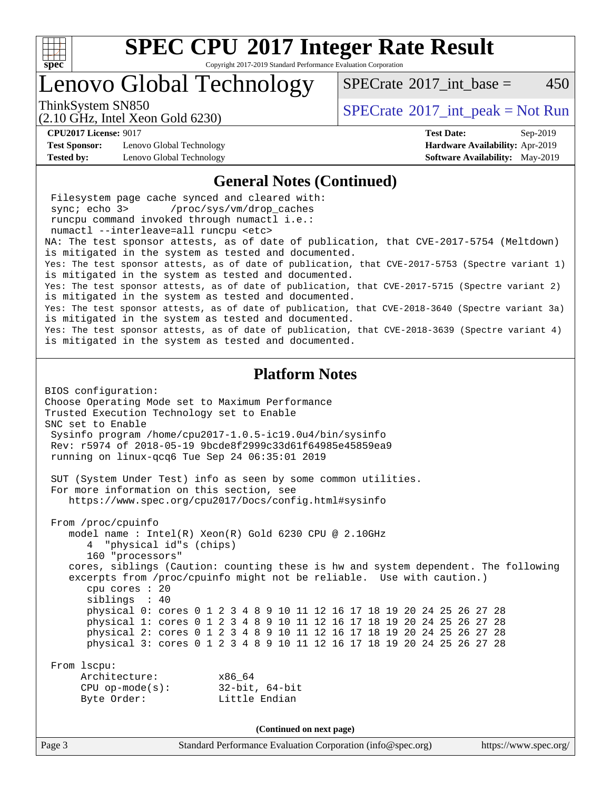

Copyright 2017-2019 Standard Performance Evaluation Corporation

## Lenovo Global Technology

ThinkSystem SN850<br>  $SPECTA = N \cdot S$  [SPECrate](http://www.spec.org/auto/cpu2017/Docs/result-fields.html#SPECrate2017intpeak)®[2017\\_int\\_peak = N](http://www.spec.org/auto/cpu2017/Docs/result-fields.html#SPECrate2017intpeak)ot Run

(2.10 GHz, Intel Xeon Gold 6230)

[SPECrate](http://www.spec.org/auto/cpu2017/Docs/result-fields.html#SPECrate2017intbase)<sup>®</sup>2017 int base = 450

**[Test Sponsor:](http://www.spec.org/auto/cpu2017/Docs/result-fields.html#TestSponsor)** Lenovo Global Technology **[Hardware Availability:](http://www.spec.org/auto/cpu2017/Docs/result-fields.html#HardwareAvailability)** Apr-2019 **[Tested by:](http://www.spec.org/auto/cpu2017/Docs/result-fields.html#Testedby)** Lenovo Global Technology **[Software Availability:](http://www.spec.org/auto/cpu2017/Docs/result-fields.html#SoftwareAvailability)** May-2019

**[CPU2017 License:](http://www.spec.org/auto/cpu2017/Docs/result-fields.html#CPU2017License)** 9017 **[Test Date:](http://www.spec.org/auto/cpu2017/Docs/result-fields.html#TestDate)** Sep-2019

#### **[General Notes \(Continued\)](http://www.spec.org/auto/cpu2017/Docs/result-fields.html#GeneralNotes)**

Page 3 Standard Performance Evaluation Corporation [\(info@spec.org\)](mailto:info@spec.org) <https://www.spec.org/> Filesystem page cache synced and cleared with: sync; echo 3> /proc/sys/vm/drop\_caches runcpu command invoked through numactl i.e.: numactl --interleave=all runcpu <etc> NA: The test sponsor attests, as of date of publication, that CVE-2017-5754 (Meltdown) is mitigated in the system as tested and documented. Yes: The test sponsor attests, as of date of publication, that CVE-2017-5753 (Spectre variant 1) is mitigated in the system as tested and documented. Yes: The test sponsor attests, as of date of publication, that CVE-2017-5715 (Spectre variant 2) is mitigated in the system as tested and documented. Yes: The test sponsor attests, as of date of publication, that CVE-2018-3640 (Spectre variant 3a) is mitigated in the system as tested and documented. Yes: The test sponsor attests, as of date of publication, that CVE-2018-3639 (Spectre variant 4) is mitigated in the system as tested and documented. **[Platform Notes](http://www.spec.org/auto/cpu2017/Docs/result-fields.html#PlatformNotes)** BIOS configuration: Choose Operating Mode set to Maximum Performance Trusted Execution Technology set to Enable SNC set to Enable Sysinfo program /home/cpu2017-1.0.5-ic19.0u4/bin/sysinfo Rev: r5974 of 2018-05-19 9bcde8f2999c33d61f64985e45859ea9 running on linux-qcq6 Tue Sep 24 06:35:01 2019 SUT (System Under Test) info as seen by some common utilities. For more information on this section, see <https://www.spec.org/cpu2017/Docs/config.html#sysinfo> From /proc/cpuinfo model name : Intel(R) Xeon(R) Gold 6230 CPU @ 2.10GHz 4 "physical id"s (chips) 160 "processors" cores, siblings (Caution: counting these is hw and system dependent. The following excerpts from /proc/cpuinfo might not be reliable. Use with caution.) cpu cores : 20 siblings : 40 physical 0: cores 0 1 2 3 4 8 9 10 11 12 16 17 18 19 20 24 25 26 27 28 physical 1: cores 0 1 2 3 4 8 9 10 11 12 16 17 18 19 20 24 25 26 27 28 physical 2: cores 0 1 2 3 4 8 9 10 11 12 16 17 18 19 20 24 25 26 27 28 physical 3: cores 0 1 2 3 4 8 9 10 11 12 16 17 18 19 20 24 25 26 27 28 From lscpu: Architecture: x86\_64 CPU op-mode(s): 32-bit, 64-bit Byte Order: Little Endian **(Continued on next page)**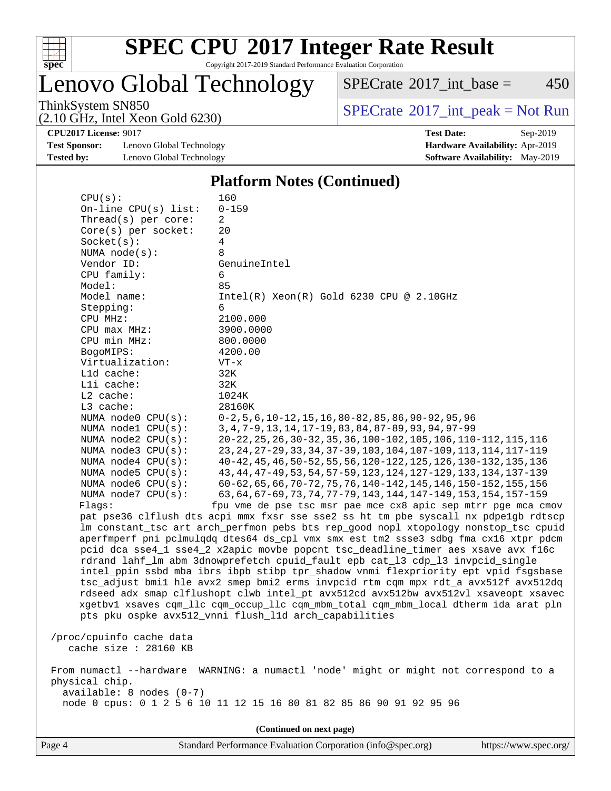

Copyright 2017-2019 Standard Performance Evaluation Corporation

Lenovo Global Technology

 $SPECTate$ <sup>®</sup>[2017\\_int\\_base =](http://www.spec.org/auto/cpu2017/Docs/result-fields.html#SPECrate2017intbase) 450

(2.10 GHz, Intel Xeon Gold 6230)

ThinkSystem SN850<br>  $(2.10 \text{ GHz. Intel } X_{200}$  Gold 6230)

**[Test Sponsor:](http://www.spec.org/auto/cpu2017/Docs/result-fields.html#TestSponsor)** Lenovo Global Technology **[Hardware Availability:](http://www.spec.org/auto/cpu2017/Docs/result-fields.html#HardwareAvailability)** Apr-2019 **[Tested by:](http://www.spec.org/auto/cpu2017/Docs/result-fields.html#Testedby)** Lenovo Global Technology **[Software Availability:](http://www.spec.org/auto/cpu2017/Docs/result-fields.html#SoftwareAvailability)** May-2019

**[CPU2017 License:](http://www.spec.org/auto/cpu2017/Docs/result-fields.html#CPU2017License)** 9017 **[Test Date:](http://www.spec.org/auto/cpu2017/Docs/result-fields.html#TestDate)** Sep-2019

### **[Platform Notes \(Continued\)](http://www.spec.org/auto/cpu2017/Docs/result-fields.html#PlatformNotes)**

| CPU(s):                    | 160                                                                                  |
|----------------------------|--------------------------------------------------------------------------------------|
| On-line $CPU(s)$ list:     | $0 - 159$                                                                            |
| Thread( $s$ ) per core:    | 2                                                                                    |
| Core(s) per socket:        | 20                                                                                   |
| Socket(s):                 | 4                                                                                    |
| NUMA $node(s)$ :           | 8                                                                                    |
| Vendor ID:                 | GenuineIntel                                                                         |
| CPU family:                | 6                                                                                    |
| Model:                     | 85                                                                                   |
| Model name:                | $Intel(R) Xeon(R) Gold 6230 CPU @ 2.10GHz$                                           |
| Stepping:                  | 6                                                                                    |
| CPU MHz:                   | 2100.000                                                                             |
| CPU max MHz:               | 3900.0000                                                                            |
| CPU min MHz:               | 800.0000                                                                             |
| BogoMIPS:                  | 4200.00                                                                              |
| Virtualization:            | $VT - x$                                                                             |
| L1d cache:                 | 32K                                                                                  |
| Lli cache:                 | 32K                                                                                  |
| $L2$ cache:                | 1024K                                                                                |
| L3 cache:                  | 28160K                                                                               |
| NUMA node0 CPU(s):         | $0-2, 5, 6, 10-12, 15, 16, 80-82, 85, 86, 90-92, 95, 96$                             |
| NUMA nodel CPU(s):         | 3, 4, 7-9, 13, 14, 17-19, 83, 84, 87-89, 93, 94, 97-99                               |
| NUMA node2 CPU(s):         | 20-22, 25, 26, 30-32, 35, 36, 100-102, 105, 106, 110-112, 115, 116                   |
| NUMA node3 CPU(s):         | 23, 24, 27-29, 33, 34, 37-39, 103, 104, 107-109, 113, 114, 117-119                   |
| NUMA $node4$ $CPU(s)$ :    | 40-42, 45, 46, 50-52, 55, 56, 120-122, 125, 126, 130-132, 135, 136                   |
| NUMA node5 CPU(s):         | 43, 44, 47-49, 53, 54, 57-59, 123, 124, 127-129, 133, 134, 137-139                   |
| NUMA node6 CPU(s):         | 60-62, 65, 66, 70-72, 75, 76, 140-142, 145, 146, 150-152, 155, 156                   |
| NUMA node7 CPU(s):         | 63, 64, 67-69, 73, 74, 77-79, 143, 144, 147-149, 153, 154, 157-159                   |
| Flaqs:                     | fpu vme de pse tsc msr pae mce cx8 apic sep mtrr pge mca cmov                        |
|                            | pat pse36 clflush dts acpi mmx fxsr sse sse2 ss ht tm pbe syscall nx pdpelgb rdtscp  |
|                            | lm constant_tsc art arch_perfmon pebs bts rep_good nopl xtopology nonstop_tsc cpuid  |
|                            | aperfmperf pni pclmulqdq dtes64 ds_cpl vmx smx est tm2 ssse3 sdbg fma cx16 xtpr pdcm |
|                            | pcid dca sse4_1 sse4_2 x2apic movbe popcnt tsc_deadline_timer aes xsave avx f16c     |
|                            | rdrand lahf_lm abm 3dnowprefetch cpuid_fault epb cat_13 cdp_13 invpcid_single        |
|                            | intel_ppin ssbd mba ibrs ibpb stibp tpr_shadow vnmi flexpriority ept vpid fsgsbase   |
|                            | tsc_adjust bmil hle avx2 smep bmi2 erms invpcid rtm cqm mpx rdt_a avx512f avx512dq   |
|                            | rdseed adx smap clflushopt clwb intel_pt avx512cd avx512bw avx512vl xsaveopt xsavec  |
|                            | xgetbvl xsaves cqm_llc cqm_occup_llc cqm_mbm_total cqm_mbm_local dtherm ida arat pln |
|                            | pts pku ospke avx512_vnni flush_l1d arch_capabilities                                |
|                            |                                                                                      |
| /proc/cpuinfo cache data   |                                                                                      |
| cache size : 28160 KB      |                                                                                      |
|                            |                                                                                      |
|                            | From numactl --hardware WARNING: a numactl 'node' might or might not correspond to a |
| physical chip.             |                                                                                      |
| $available: 8 nodes (0-7)$ |                                                                                      |
|                            | node 0 cpus: 0 1 2 5 6 10 11 12 15 16 80 81 82 85 86 90 91 92 95 96                  |
|                            |                                                                                      |
|                            |                                                                                      |

**(Continued on next page)**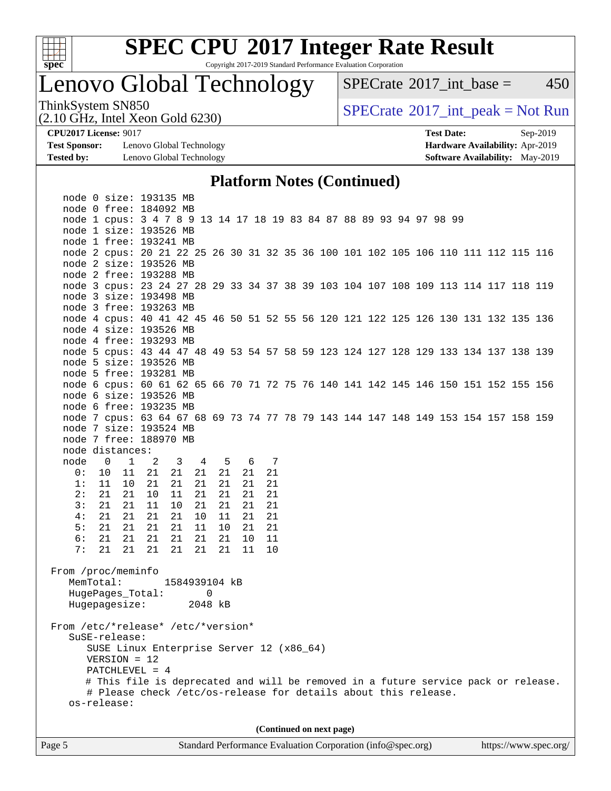

Copyright 2017-2019 Standard Performance Evaluation Corporation

## Lenovo Global Technology

 $SPECTate$ <sup>®</sup>[2017\\_int\\_base =](http://www.spec.org/auto/cpu2017/Docs/result-fields.html#SPECrate2017intbase) 450

(2.10 GHz, Intel Xeon Gold 6230)

ThinkSystem SN850<br>  $(2.10 \text{ GHz. Intel } X_{200}$  Gold 6230)

**[Test Sponsor:](http://www.spec.org/auto/cpu2017/Docs/result-fields.html#TestSponsor)** Lenovo Global Technology **[Hardware Availability:](http://www.spec.org/auto/cpu2017/Docs/result-fields.html#HardwareAvailability)** Apr-2019 **[Tested by:](http://www.spec.org/auto/cpu2017/Docs/result-fields.html#Testedby)** Lenovo Global Technology **[Software Availability:](http://www.spec.org/auto/cpu2017/Docs/result-fields.html#SoftwareAvailability)** May-2019

**[CPU2017 License:](http://www.spec.org/auto/cpu2017/Docs/result-fields.html#CPU2017License)** 9017 **[Test Date:](http://www.spec.org/auto/cpu2017/Docs/result-fields.html#TestDate)** Sep-2019

## **[Platform Notes \(Continued\)](http://www.spec.org/auto/cpu2017/Docs/result-fields.html#PlatformNotes)**

|                                    | node 0 size: 193135 MB                                                             |       |                         |         |       |     |    |  |                          |  |  |  |  |  |
|------------------------------------|------------------------------------------------------------------------------------|-------|-------------------------|---------|-------|-----|----|--|--------------------------|--|--|--|--|--|
|                                    | node 0 free: 184092 MB                                                             |       |                         |         |       |     |    |  |                          |  |  |  |  |  |
|                                    | node 1 cpus: 3 4 7 8 9 13 14 17 18 19 83 84 87 88 89 93 94 97 98 99                |       |                         |         |       |     |    |  |                          |  |  |  |  |  |
|                                    | node 1 size: 193526 MB                                                             |       |                         |         |       |     |    |  |                          |  |  |  |  |  |
|                                    | node 1 free: 193241 MB                                                             |       |                         |         |       |     |    |  |                          |  |  |  |  |  |
|                                    | node 2 cpus: 20 21 22 25 26 30 31 32 35 36 100 101 102 105 106 110 111 112 115 116 |       |                         |         |       |     |    |  |                          |  |  |  |  |  |
|                                    | node 2 size: 193526 MB                                                             |       |                         |         |       |     |    |  |                          |  |  |  |  |  |
|                                    | node 2 free: 193288 MB                                                             |       |                         |         |       |     |    |  |                          |  |  |  |  |  |
|                                    | node 3 cpus: 23 24 27 28 29 33 34 37 38 39 103 104 107 108 109 113 114 117 118 119 |       |                         |         |       |     |    |  |                          |  |  |  |  |  |
|                                    | node 3 size: 193498 MB                                                             |       |                         |         |       |     |    |  |                          |  |  |  |  |  |
|                                    | node 3 free: 193263 MB                                                             |       |                         |         |       |     |    |  |                          |  |  |  |  |  |
|                                    | node 4 cpus: 40 41 42 45 46 50 51 52 55 56 120 121 122 125 126 130 131 132 135 136 |       |                         |         |       |     |    |  |                          |  |  |  |  |  |
|                                    | node 4 size: 193526 MB                                                             |       |                         |         |       |     |    |  |                          |  |  |  |  |  |
|                                    | node 4 free: 193293 MB                                                             |       |                         |         |       |     |    |  |                          |  |  |  |  |  |
|                                    | node 5 cpus: 43 44 47 48 49 53 54 57 58 59 123 124 127 128 129 133 134 137 138 139 |       |                         |         |       |     |    |  |                          |  |  |  |  |  |
|                                    | node 5 size: 193526 MB                                                             |       |                         |         |       |     |    |  |                          |  |  |  |  |  |
|                                    | node 5 free: 193281 MB                                                             |       |                         |         |       |     |    |  |                          |  |  |  |  |  |
|                                    | node 6 cpus: 60 61 62 65 66 70 71 72 75 76 140 141 142 145 146 150 151 152 155 156 |       |                         |         |       |     |    |  |                          |  |  |  |  |  |
|                                    | node 6 size: 193526 MB                                                             |       |                         |         |       |     |    |  |                          |  |  |  |  |  |
|                                    | node 6 free: 193235 MB                                                             |       |                         |         |       |     |    |  |                          |  |  |  |  |  |
|                                    | node 7 cpus: 63 64 67 68 69 73 74 77 78 79 143 144 147 148 149 153 154 157 158 159 |       |                         |         |       |     |    |  |                          |  |  |  |  |  |
|                                    | node 7 size: 193524 MB                                                             |       |                         |         |       |     |    |  |                          |  |  |  |  |  |
|                                    | node 7 free: 188970 MB                                                             |       |                         |         |       |     |    |  |                          |  |  |  |  |  |
|                                    | node distances:                                                                    |       |                         |         |       |     |    |  |                          |  |  |  |  |  |
|                                    | node 0 1 2                                                                         |       | $\overline{\mathbf{3}}$ | 4 5     |       | 6 7 |    |  |                          |  |  |  |  |  |
| 0:                                 | 10<br>11                                                                           | 21    | 21                      | 21      | 21    | 21  | 21 |  |                          |  |  |  |  |  |
| 1:                                 | 11<br>10                                                                           | 21    | 21                      | 21      | 21    | 21  | 21 |  |                          |  |  |  |  |  |
| 2:                                 | 21<br>21                                                                           | 10    | 11                      | 21      | 21    | 21  | 21 |  |                          |  |  |  |  |  |
| 3:                                 | 21<br>21                                                                           | 11    | 10                      | 21      | -21   | 21  | 21 |  |                          |  |  |  |  |  |
| 4:                                 | 21<br>21                                                                           | 21    | 21                      | 10      | 11    | 21  | 21 |  |                          |  |  |  |  |  |
| 5:                                 | 21 21                                                                              | 21    | 21                      | 11      | 10    | 21  | 21 |  |                          |  |  |  |  |  |
| 6:                                 | 21<br>21                                                                           | 21    | 21                      | 21      | 21    | 10  | 11 |  |                          |  |  |  |  |  |
| 7:                                 | 21                                                                                 | 21 21 | 21                      |         | 21 21 | 11  | 10 |  |                          |  |  |  |  |  |
|                                    |                                                                                    |       |                         |         |       |     |    |  |                          |  |  |  |  |  |
| From /proc/meminfo                 |                                                                                    |       |                         |         |       |     |    |  |                          |  |  |  |  |  |
| MemTotal:                          |                                                                                    |       | 1584939104 kB           |         |       |     |    |  |                          |  |  |  |  |  |
|                                    | HugePages_Total:                                                                   |       |                         |         | 0     |     |    |  |                          |  |  |  |  |  |
|                                    | Hugepagesize:                                                                      |       |                         | 2048 kB |       |     |    |  |                          |  |  |  |  |  |
|                                    |                                                                                    |       |                         |         |       |     |    |  |                          |  |  |  |  |  |
| From /etc/*release* /etc/*version* |                                                                                    |       |                         |         |       |     |    |  |                          |  |  |  |  |  |
|                                    | SuSE-release:                                                                      |       |                         |         |       |     |    |  |                          |  |  |  |  |  |
|                                    | SUSE Linux Enterprise Server 12 (x86_64)                                           |       |                         |         |       |     |    |  |                          |  |  |  |  |  |
|                                    | VERSION = 12                                                                       |       |                         |         |       |     |    |  |                          |  |  |  |  |  |
|                                    | PATCHLEVEL = $4$                                                                   |       |                         |         |       |     |    |  |                          |  |  |  |  |  |
|                                    | # This file is deprecated and will be removed in a future service pack or release. |       |                         |         |       |     |    |  |                          |  |  |  |  |  |
|                                    | # Please check /etc/os-release for details about this release.                     |       |                         |         |       |     |    |  |                          |  |  |  |  |  |
|                                    | os-release:                                                                        |       |                         |         |       |     |    |  |                          |  |  |  |  |  |
|                                    |                                                                                    |       |                         |         |       |     |    |  |                          |  |  |  |  |  |
|                                    |                                                                                    |       |                         |         |       |     |    |  |                          |  |  |  |  |  |
|                                    |                                                                                    |       |                         |         |       |     |    |  | (Continued on next page) |  |  |  |  |  |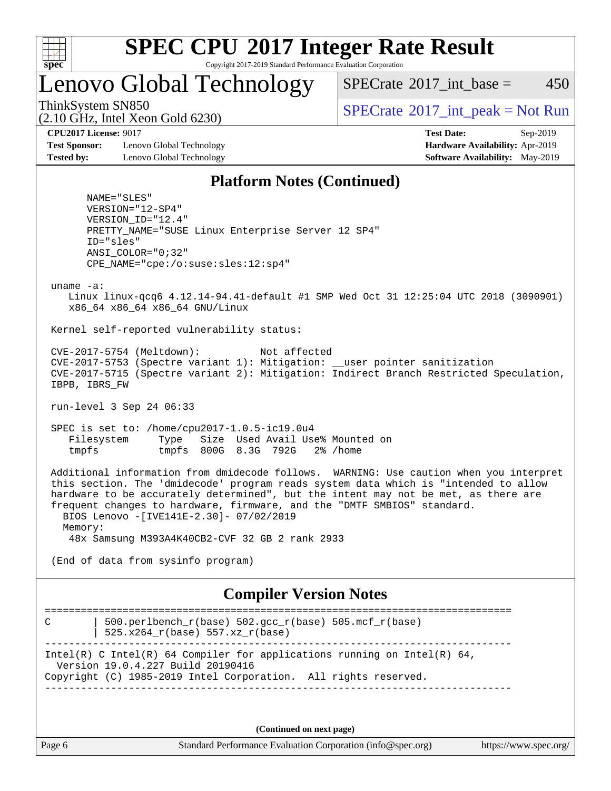

Copyright 2017-2019 Standard Performance Evaluation Corporation

Lenovo Global Technology

 $SPECTate^{\circ}2017$  int base = 450

(2.10 GHz, Intel Xeon Gold 6230)

ThinkSystem SN850<br>  $SPECTR_{10}$  [SPECrate](http://www.spec.org/auto/cpu2017/Docs/result-fields.html#SPECrate2017intpeak)®[2017\\_int\\_peak = N](http://www.spec.org/auto/cpu2017/Docs/result-fields.html#SPECrate2017intpeak)ot Run

**[Test Sponsor:](http://www.spec.org/auto/cpu2017/Docs/result-fields.html#TestSponsor)** Lenovo Global Technology **[Hardware Availability:](http://www.spec.org/auto/cpu2017/Docs/result-fields.html#HardwareAvailability)** Apr-2019 **[Tested by:](http://www.spec.org/auto/cpu2017/Docs/result-fields.html#Testedby)** Lenovo Global Technology **[Software Availability:](http://www.spec.org/auto/cpu2017/Docs/result-fields.html#SoftwareAvailability)** May-2019

**[CPU2017 License:](http://www.spec.org/auto/cpu2017/Docs/result-fields.html#CPU2017License)** 9017 **[Test Date:](http://www.spec.org/auto/cpu2017/Docs/result-fields.html#TestDate)** Sep-2019

## **[Platform Notes \(Continued\)](http://www.spec.org/auto/cpu2017/Docs/result-fields.html#PlatformNotes)**

 NAME="SLES" VERSION="12-SP4" VERSION\_ID="12.4" PRETTY\_NAME="SUSE Linux Enterprise Server 12 SP4" ID="sles" ANSI\_COLOR="0;32" CPE\_NAME="cpe:/o:suse:sles:12:sp4"

uname -a:

 Linux linux-qcq6 4.12.14-94.41-default #1 SMP Wed Oct 31 12:25:04 UTC 2018 (3090901) x86\_64 x86\_64 x86\_64 GNU/Linux

Kernel self-reported vulnerability status:

 CVE-2017-5754 (Meltdown): Not affected CVE-2017-5753 (Spectre variant 1): Mitigation: \_\_user pointer sanitization CVE-2017-5715 (Spectre variant 2): Mitigation: Indirect Branch Restricted Speculation, IBPB, IBRS\_FW

run-level 3 Sep 24 06:33

 SPEC is set to: /home/cpu2017-1.0.5-ic19.0u4 Filesystem Type Size Used Avail Use% Mounted on tmpfs tmpfs 800G 8.3G 792G 2% /home

 Additional information from dmidecode follows. WARNING: Use caution when you interpret this section. The 'dmidecode' program reads system data which is "intended to allow hardware to be accurately determined", but the intent may not be met, as there are frequent changes to hardware, firmware, and the "DMTF SMBIOS" standard. BIOS Lenovo -[IVE141E-2.30]- 07/02/2019 Memory:

48x Samsung M393A4K40CB2-CVF 32 GB 2 rank 2933

(End of data from sysinfo program)

## **[Compiler Version Notes](http://www.spec.org/auto/cpu2017/Docs/result-fields.html#CompilerVersionNotes)**

============================================================================== C  $\vert$  500.perlbench\_r(base) 502.gcc\_r(base) 505.mcf\_r(base) | 525.x264\_r(base) 557.xz\_r(base) ------------------------------------------------------------------------------ Intel(R) C Intel(R) 64 Compiler for applications running on Intel(R)  $64$ , Version 19.0.4.227 Build 20190416 Copyright (C) 1985-2019 Intel Corporation. All rights reserved. ------------------------------------------------------------------------------

**(Continued on next page)**

Page 6 Standard Performance Evaluation Corporation [\(info@spec.org\)](mailto:info@spec.org) <https://www.spec.org/>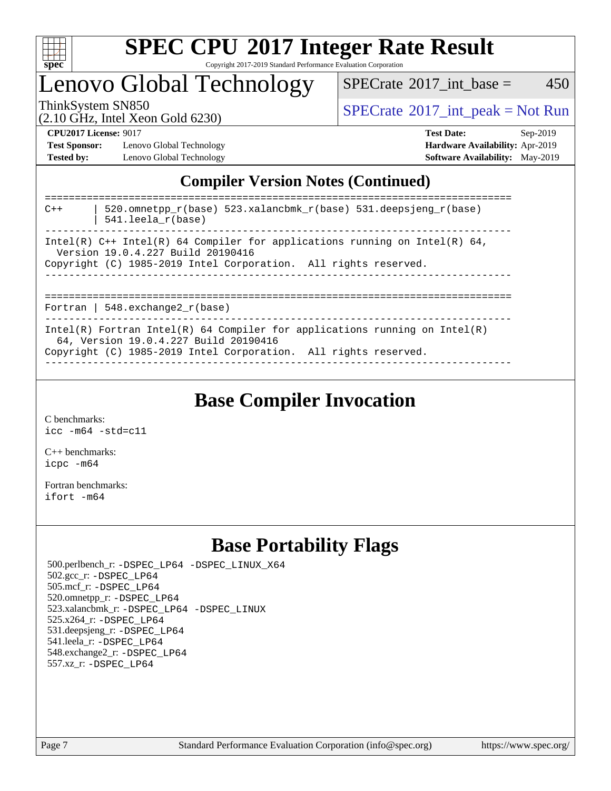

Copyright 2017-2019 Standard Performance Evaluation Corporation

Lenovo Global Technology

 $SPECrate^{\circledcirc}2017\_int\_base = 450$  $SPECrate^{\circledcirc}2017\_int\_base = 450$ 

(2.10 GHz, Intel Xeon Gold 6230)

ThinkSystem SN850<br>  $(2.10 \text{ GHz. Intel Yoon Gold } 6230)$  [SPECrate](http://www.spec.org/auto/cpu2017/Docs/result-fields.html#SPECrate2017intpeak)®[2017\\_int\\_peak = N](http://www.spec.org/auto/cpu2017/Docs/result-fields.html#SPECrate2017intpeak)ot Run

**[Test Sponsor:](http://www.spec.org/auto/cpu2017/Docs/result-fields.html#TestSponsor)** Lenovo Global Technology **[Hardware Availability:](http://www.spec.org/auto/cpu2017/Docs/result-fields.html#HardwareAvailability)** Apr-2019 **[Tested by:](http://www.spec.org/auto/cpu2017/Docs/result-fields.html#Testedby)** Lenovo Global Technology **[Software Availability:](http://www.spec.org/auto/cpu2017/Docs/result-fields.html#SoftwareAvailability)** May-2019

**[CPU2017 License:](http://www.spec.org/auto/cpu2017/Docs/result-fields.html#CPU2017License)** 9017 **[Test Date:](http://www.spec.org/auto/cpu2017/Docs/result-fields.html#TestDate)** Sep-2019

## **[Compiler Version Notes \(Continued\)](http://www.spec.org/auto/cpu2017/Docs/result-fields.html#CompilerVersionNotes)**

| 520.omnetpp $r(base)$ 523.xalancbmk $r(base)$ 531.deepsjeng $r(base)$<br>$C++$<br>$541.$ leela_r(base)                                                                                 |
|----------------------------------------------------------------------------------------------------------------------------------------------------------------------------------------|
| Intel(R) $C++$ Intel(R) 64 Compiler for applications running on Intel(R) 64,<br>Version 19.0.4.227 Build 20190416<br>Copyright (C) 1985-2019 Intel Corporation. All rights reserved.   |
| Fortran   548.exchange2 $r(base)$                                                                                                                                                      |
| Intel(R) Fortran Intel(R) 64 Compiler for applications running on Intel(R)<br>64, Version 19.0.4.227 Build 20190416<br>Copyright (C) 1985-2019 Intel Corporation. All rights reserved. |

**[Base Compiler Invocation](http://www.spec.org/auto/cpu2017/Docs/result-fields.html#BaseCompilerInvocation)**

[C benchmarks](http://www.spec.org/auto/cpu2017/Docs/result-fields.html#Cbenchmarks): [icc -m64 -std=c11](http://www.spec.org/cpu2017/results/res2019q4/cpu2017-20190926-18583.flags.html#user_CCbase_intel_icc_64bit_c11_33ee0cdaae7deeeab2a9725423ba97205ce30f63b9926c2519791662299b76a0318f32ddfffdc46587804de3178b4f9328c46fa7c2b0cd779d7a61945c91cd35)

[C++ benchmarks:](http://www.spec.org/auto/cpu2017/Docs/result-fields.html#CXXbenchmarks) [icpc -m64](http://www.spec.org/cpu2017/results/res2019q4/cpu2017-20190926-18583.flags.html#user_CXXbase_intel_icpc_64bit_4ecb2543ae3f1412ef961e0650ca070fec7b7afdcd6ed48761b84423119d1bf6bdf5cad15b44d48e7256388bc77273b966e5eb805aefd121eb22e9299b2ec9d9)

[Fortran benchmarks](http://www.spec.org/auto/cpu2017/Docs/result-fields.html#Fortranbenchmarks): [ifort -m64](http://www.spec.org/cpu2017/results/res2019q4/cpu2017-20190926-18583.flags.html#user_FCbase_intel_ifort_64bit_24f2bb282fbaeffd6157abe4f878425411749daecae9a33200eee2bee2fe76f3b89351d69a8130dd5949958ce389cf37ff59a95e7a40d588e8d3a57e0c3fd751)

## **[Base Portability Flags](http://www.spec.org/auto/cpu2017/Docs/result-fields.html#BasePortabilityFlags)**

 500.perlbench\_r: [-DSPEC\\_LP64](http://www.spec.org/cpu2017/results/res2019q4/cpu2017-20190926-18583.flags.html#b500.perlbench_r_basePORTABILITY_DSPEC_LP64) [-DSPEC\\_LINUX\\_X64](http://www.spec.org/cpu2017/results/res2019q4/cpu2017-20190926-18583.flags.html#b500.perlbench_r_baseCPORTABILITY_DSPEC_LINUX_X64) 502.gcc\_r: [-DSPEC\\_LP64](http://www.spec.org/cpu2017/results/res2019q4/cpu2017-20190926-18583.flags.html#suite_basePORTABILITY502_gcc_r_DSPEC_LP64) 505.mcf\_r: [-DSPEC\\_LP64](http://www.spec.org/cpu2017/results/res2019q4/cpu2017-20190926-18583.flags.html#suite_basePORTABILITY505_mcf_r_DSPEC_LP64) 520.omnetpp\_r: [-DSPEC\\_LP64](http://www.spec.org/cpu2017/results/res2019q4/cpu2017-20190926-18583.flags.html#suite_basePORTABILITY520_omnetpp_r_DSPEC_LP64) 523.xalancbmk\_r: [-DSPEC\\_LP64](http://www.spec.org/cpu2017/results/res2019q4/cpu2017-20190926-18583.flags.html#suite_basePORTABILITY523_xalancbmk_r_DSPEC_LP64) [-DSPEC\\_LINUX](http://www.spec.org/cpu2017/results/res2019q4/cpu2017-20190926-18583.flags.html#b523.xalancbmk_r_baseCXXPORTABILITY_DSPEC_LINUX) 525.x264\_r: [-DSPEC\\_LP64](http://www.spec.org/cpu2017/results/res2019q4/cpu2017-20190926-18583.flags.html#suite_basePORTABILITY525_x264_r_DSPEC_LP64) 531.deepsjeng\_r: [-DSPEC\\_LP64](http://www.spec.org/cpu2017/results/res2019q4/cpu2017-20190926-18583.flags.html#suite_basePORTABILITY531_deepsjeng_r_DSPEC_LP64) 541.leela\_r: [-DSPEC\\_LP64](http://www.spec.org/cpu2017/results/res2019q4/cpu2017-20190926-18583.flags.html#suite_basePORTABILITY541_leela_r_DSPEC_LP64) 548.exchange2\_r: [-DSPEC\\_LP64](http://www.spec.org/cpu2017/results/res2019q4/cpu2017-20190926-18583.flags.html#suite_basePORTABILITY548_exchange2_r_DSPEC_LP64) 557.xz\_r: [-DSPEC\\_LP64](http://www.spec.org/cpu2017/results/res2019q4/cpu2017-20190926-18583.flags.html#suite_basePORTABILITY557_xz_r_DSPEC_LP64)